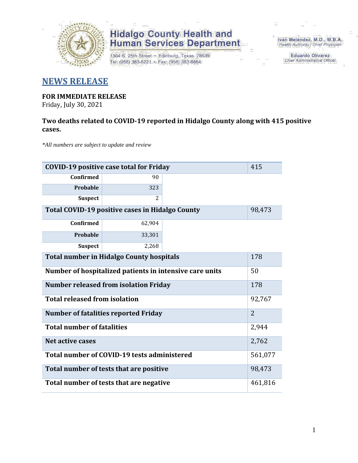

1304 S. 25th Street · Edinburg, Texas 78539 Tel: (956) 383-6221 · Fax: (956) 383-8864

Iván Meléndez, M.D., M.B.A. Health Authority / Chief Physician

> **Eduardo Olivarez Chief Administrative Officer**

### **NEWS RELEASE**

### **FOR IMMEDIATE RELEASE**

Friday, July 30, 2021

#### **Two deaths related to COVID-19 reported in Hidalgo County along with 415 positive cases.**

*\*All numbers are subject to update and review*

|                                                         | 415<br><b>COVID-19 positive case total for Friday</b> |  |         |  |  |  |
|---------------------------------------------------------|-------------------------------------------------------|--|---------|--|--|--|
| <b>Confirmed</b>                                        | 90                                                    |  |         |  |  |  |
| Probable                                                | 323                                                   |  |         |  |  |  |
| <b>Suspect</b>                                          | 2                                                     |  |         |  |  |  |
| Total COVID-19 positive cases in Hidalgo County         |                                                       |  |         |  |  |  |
| <b>Confirmed</b>                                        | 62,904                                                |  |         |  |  |  |
| Probable                                                | 33,301                                                |  |         |  |  |  |
| <b>Suspect</b>                                          | 2,268                                                 |  |         |  |  |  |
| <b>Total number in Hidalgo County hospitals</b>         | 178                                                   |  |         |  |  |  |
| Number of hospitalized patients in intensive care units | 50                                                    |  |         |  |  |  |
| <b>Number released from isolation Friday</b>            | 178                                                   |  |         |  |  |  |
| <b>Total released from isolation</b>                    | 92,767                                                |  |         |  |  |  |
| <b>Number of fatalities reported Friday</b>             | $\overline{2}$                                        |  |         |  |  |  |
| <b>Total number of fatalities</b>                       |                                                       |  | 2,944   |  |  |  |
| Net active cases                                        |                                                       |  |         |  |  |  |
|                                                         | Total number of COVID-19 tests administered           |  | 561,077 |  |  |  |
| Total number of tests that are positive                 | 98,473                                                |  |         |  |  |  |
| Total number of tests that are negative                 |                                                       |  |         |  |  |  |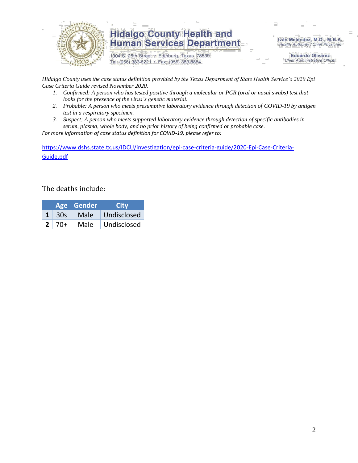

1304 S. 25th Street · Edinburg, Texas 78539 Tel: (956) 383-6221 · Fax: (956) 383-8864

Iván Meléndez, M.D., M.B.A. Health Authority / Chief Physician

> **Eduardo Olivarez Chief Administrative Officer**

*Hidalgo County uses the case status definition provided by the Texas Department of State Health Service's 2020 Epi Case Criteria Guide revised November 2020.*

- *1. Confirmed: A person who has tested positive through a molecular or PCR (oral or nasal swabs) test that looks for the presence of the virus's genetic material.*
- *2. Probable: A person who meets presumptive laboratory evidence through detection of COVID-19 by antigen test in a respiratory specimen.*
- *3. Suspect: A person who meets supported laboratory evidence through detection of specific antibodies in serum, plasma, whole body, and no prior history of being confirmed or probable case.*

*For more information of case status definition for COVID-19, please refer to:*

[https://www.dshs.state.tx.us/IDCU/investigation/epi-case-criteria-guide/2020-Epi-Case-Criteria-](https://www.dshs.state.tx.us/IDCU/investigation/epi-case-criteria-guide/2020-Epi-Case-Criteria-Guide.pdf)[Guide.pdf](https://www.dshs.state.tx.us/IDCU/investigation/epi-case-criteria-guide/2020-Epi-Case-Criteria-Guide.pdf)

#### The deaths include:

|              | Age Gender | <b>City</b> |
|--------------|------------|-------------|
| -30s         | Male       | Undisclosed |
| $2 \mid 70+$ | Male       | Undisclosed |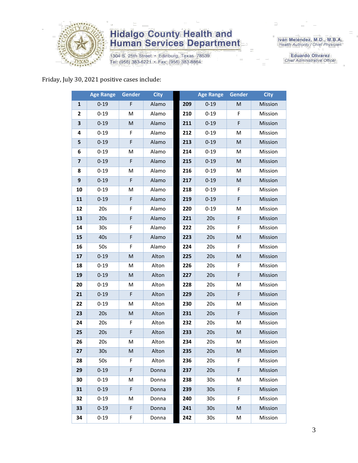

1304 S. 25th Street · Edinburg, Texas 78539 Tel: (956) 383-6221 · Fax: (956) 383-8864

Iván Meléndez, M.D., M.B.A.<br>Health Authority / Chief Physician

**Eduardo Olivarez** Chief Administrative Officer

#### Friday, July 30, 2021 positive cases include:

|                         | <b>Age Range</b> | Gender      | <b>City</b> |     | <b>Age Range</b> | Gender | <b>City</b> |
|-------------------------|------------------|-------------|-------------|-----|------------------|--------|-------------|
| 1                       | $0 - 19$         | F           | Alamo       | 209 | $0 - 19$         | M      | Mission     |
| 2                       | $0 - 19$         | M           | Alamo       | 210 | $0 - 19$         | F      | Mission     |
| 3                       | $0 - 19$         | M           | Alamo       | 211 | $0 - 19$         | F      | Mission     |
| 4                       | $0 - 19$         | F           | Alamo       | 212 | $0 - 19$         | М      | Mission     |
| 5                       | $0 - 19$         | F           | Alamo       | 213 | $0 - 19$         | M      | Mission     |
| 6                       | $0 - 19$         | M           | Alamo       | 214 | $0 - 19$         | M      | Mission     |
| $\overline{\mathbf{z}}$ | $0 - 19$         | $\mathsf F$ | Alamo       | 215 | $0 - 19$         | M      | Mission     |
| 8                       | $0 - 19$         | M           | Alamo       | 216 | $0 - 19$         | M      | Mission     |
| $\boldsymbol{9}$        | $0 - 19$         | F           | Alamo       | 217 | $0 - 19$         | M      | Mission     |
| 10                      | $0 - 19$         | M           | Alamo       | 218 | $0 - 19$         | F      | Mission     |
| 11                      | $0 - 19$         | F           | Alamo       | 219 | $0 - 19$         | F      | Mission     |
| 12                      | 20s              | F           | Alamo       | 220 | $0 - 19$         | M      | Mission     |
| 13                      | 20s              | F           | Alamo       | 221 | 20s              | F      | Mission     |
| 14                      | 30s              | F           | Alamo       | 222 | 20s              | F      | Mission     |
| 15                      | 40s              | F           | Alamo       | 223 | 20s              | M      | Mission     |
| 16                      | 50s              | F           | Alamo       | 224 | 20s              | F      | Mission     |
| 17                      | $0 - 19$         | ${\sf M}$   | Alton       | 225 | 20s              | M      | Mission     |
| 18                      | $0 - 19$         | M           | Alton       | 226 | 20s              | F      | Mission     |
| 19                      | $0 - 19$         | M           | Alton       | 227 | 20s              | F      | Mission     |
| 20                      | $0 - 19$         | M           | Alton       | 228 | 20s              | M      | Mission     |
| 21                      | $0 - 19$         | $\mathsf F$ | Alton       | 229 | 20s              | F      | Mission     |
| 22                      | $0 - 19$         | M           | Alton       | 230 | 20s              | Μ      | Mission     |
| 23                      | 20s              | M           | Alton       | 231 | 20s              | F      | Mission     |
| 24                      | 20s              | F           | Alton       | 232 | 20s              | M      | Mission     |
| 25                      | 20s              | F           | Alton       | 233 | 20s              | M      | Mission     |
| 26                      | 20s              | M           | Alton       | 234 | 20s              | M      | Mission     |
| 27                      | 30 <sub>s</sub>  | M           | Alton       | 235 | 20s              | M      | Mission     |
| 28                      | 50s              | F.          | Alton       | 236 | 20s              | F      | Mission     |
| 29                      | $0 - 19$         | F           | Donna       | 237 | 20s              | F      | Mission     |
| 30                      | $0 - 19$         | М           | Donna       | 238 | 30 <sub>s</sub>  | М      | Mission     |
| 31                      | $0 - 19$         | F           | Donna       | 239 | 30 <sub>s</sub>  | F      | Mission     |
| 32                      | $0 - 19$         | М           | Donna       | 240 | 30 <sub>s</sub>  | F.     | Mission     |
| 33                      | $0 - 19$         | F           | Donna       | 241 | 30 <sub>s</sub>  | M      | Mission     |
| 34                      | $0 - 19$         | F           | Donna       | 242 | 30 <sub>s</sub>  | Μ      | Mission     |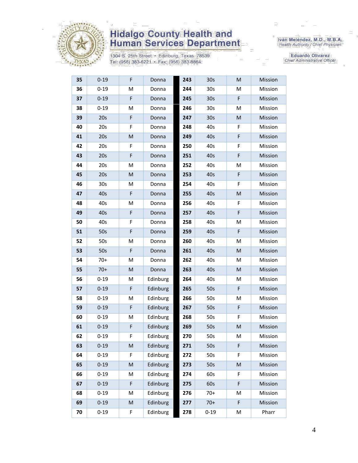

1304 S. 25th Street · Edinburg, Texas 78539 Tel: (956) 383-6221 · Fax: (956) 383-8864

Iván Meléndez, M.D., M.B.A.<br>Health Authority / Chief Physician

Eduardo Olivarez Chief Administrative Officer

| 35 | $0 - 19$        | F         | Donna    | 243 | 30 <sub>s</sub> | M           | Mission |
|----|-----------------|-----------|----------|-----|-----------------|-------------|---------|
| 36 | $0 - 19$        | M         | Donna    | 244 | 30 <sub>s</sub> | Μ           | Mission |
| 37 | $0 - 19$        | F         | Donna    | 245 | 30 <sub>s</sub> | F           | Mission |
| 38 | $0 - 19$        | M         | Donna    | 246 | 30s             | M           | Mission |
| 39 | 20s             | F         | Donna    | 247 | 30 <sub>s</sub> | M           | Mission |
| 40 | 20s             | F         | Donna    | 248 | 40s             | F           | Mission |
| 41 | 20s             | M         | Donna    | 249 | 40s             | F           | Mission |
| 42 | 20s             | F         | Donna    | 250 | 40s             | F           | Mission |
| 43 | 20s             | F         | Donna    | 251 | 40s             | F           | Mission |
| 44 | 20s             | M         | Donna    | 252 | 40s             | Μ           | Mission |
| 45 | 20s             | M         | Donna    | 253 | 40s             | F           | Mission |
| 46 | 30 <sub>s</sub> | M         | Donna    | 254 | 40s             | F           | Mission |
| 47 | 40s             | F         | Donna    | 255 | 40s             | M           | Mission |
| 48 | 40s             | M         | Donna    | 256 | 40s             | F           | Mission |
| 49 | 40s             | F         | Donna    | 257 | 40s             | F           | Mission |
| 50 | 40s             | F         | Donna    | 258 | 40s             | Μ           | Mission |
| 51 | 50s             | F         | Donna    | 259 | 40s             | $\mathsf F$ | Mission |
| 52 | 50s             | M         | Donna    | 260 | 40s             | M           | Mission |
| 53 | 50s             | F         | Donna    | 261 | 40s             | M           | Mission |
| 54 | $70+$           | M         | Donna    | 262 | 40s             | M           | Mission |
| 55 | $70+$           | M         | Donna    | 263 | 40s             | M           | Mission |
| 56 | $0 - 19$        | M         | Edinburg | 264 | 40s             | Μ           | Mission |
| 57 | $0 - 19$        | F         | Edinburg | 265 | 50s             | F           | Mission |
| 58 | $0 - 19$        | M         | Edinburg | 266 | 50s             | Μ           | Mission |
| 59 | $0 - 19$        | F         | Edinburg | 267 | 50s             | F           | Mission |
| 60 | $0 - 19$        | M         | Edinburg | 268 | 50s             | F           | Mission |
| 61 | $0 - 19$        | F         | Edinburg | 269 | 50s             | M           | Mission |
| 62 | $0 - 19$        | F         | Edinburg | 270 | 50s             | Μ           | Mission |
| 63 | $0 - 19$        | ${\sf M}$ | Edinburg | 271 | 50s             | F           | Mission |
| 64 | $0 - 19$        | F         | Edinburg | 272 | 50s             | F           | Mission |
| 65 | $0 - 19$        | M         | Edinburg | 273 | 50s             | M           | Mission |
| 66 | $0 - 19$        | M         | Edinburg | 274 | 60s             | F           | Mission |
| 67 | $0 - 19$        | F         | Edinburg | 275 | 60s             | F           | Mission |
| 68 | $0 - 19$        | M         | Edinburg | 276 | $70+$           | Μ           | Mission |
| 69 | $0 - 19$        | M         | Edinburg | 277 | $70+$           | F           | Mission |
| 70 | $0 - 19$        | F         | Edinburg | 278 | $0 - 19$        | М           | Pharr   |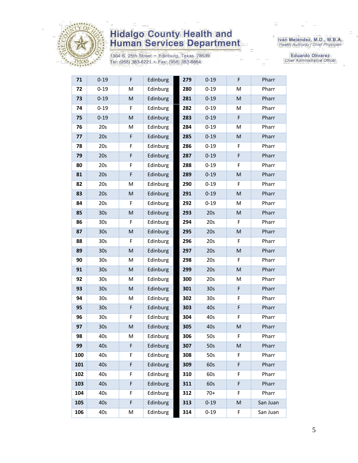

1304 S. 25th Street · Edinburg, Texas 78539 Tel: (956) 383-6221 · Fax: (956) 383-8864

Iván Meléndez, M.D., M.B.A.<br>Health Authority / Chief Physician

Eduardo Olivarez Chief Administrative Officer

| 71  | $0 - 19$        | F         | Edinburg | 279 | $0 - 19$        | F | Pharr    |
|-----|-----------------|-----------|----------|-----|-----------------|---|----------|
| 72  | $0 - 19$        | M         | Edinburg | 280 | $0 - 19$        | Μ | Pharr    |
| 73  | $0 - 19$        | M         | Edinburg | 281 | $0 - 19$        | M | Pharr    |
| 74  | $0 - 19$        | F         | Edinburg | 282 | $0 - 19$        | M | Pharr    |
| 75  | $0 - 19$        | ${\sf M}$ | Edinburg | 283 | $0 - 19$        | F | Pharr    |
| 76  | 20s             | M         | Edinburg | 284 | $0 - 19$        | M | Pharr    |
| 77  | 20s             | F         | Edinburg | 285 | $0 - 19$        | M | Pharr    |
| 78  | 20s             | F         | Edinburg | 286 | $0 - 19$        | F | Pharr    |
| 79  | 20s             | F         | Edinburg | 287 | $0 - 19$        | F | Pharr    |
| 80  | 20s             | F         | Edinburg | 288 | $0 - 19$        | F | Pharr    |
| 81  | 20s             | F         | Edinburg | 289 | $0 - 19$        | M | Pharr    |
| 82  | 20s             | M         | Edinburg | 290 | $0 - 19$        | F | Pharr    |
| 83  | 20s             | M         | Edinburg | 291 | $0 - 19$        | M | Pharr    |
| 84  | 20s             | F         | Edinburg | 292 | $0 - 19$        | M | Pharr    |
| 85  | 30 <sub>s</sub> | M         | Edinburg | 293 | 20s             | M | Pharr    |
| 86  | 30 <sub>s</sub> | F         | Edinburg | 294 | 20s             | F | Pharr    |
| 87  | 30 <sub>s</sub> | ${\sf M}$ | Edinburg | 295 | 20s             | M | Pharr    |
| 88  | 30 <sub>s</sub> | F         | Edinburg | 296 | 20s             | F | Pharr    |
| 89  | 30 <sub>s</sub> | ${\sf M}$ | Edinburg | 297 | 20s             | M | Pharr    |
| 90  | 30 <sub>s</sub> | M         | Edinburg | 298 | 20s             | F | Pharr    |
| 91  | 30 <sub>s</sub> | M         | Edinburg | 299 | 20s             | M | Pharr    |
| 92  | 30s             | M         | Edinburg | 300 | 20s             | М | Pharr    |
| 93  | 30 <sub>s</sub> | M         | Edinburg | 301 | 30 <sub>s</sub> | F | Pharr    |
| 94  | 30 <sub>s</sub> | M         | Edinburg | 302 | 30 <sub>s</sub> | F | Pharr    |
| 95  | 30 <sub>s</sub> | F         | Edinburg | 303 | 40s             | F | Pharr    |
| 96  | 30s             | F         | Edinburg | 304 | 40s             | F | Pharr    |
| 97  | 30 <sub>s</sub> | M         | Edinburg | 305 | 40s             | M | Pharr    |
| 98  | 40s             | М         | Edinburg | 306 | 50s             | F | Pharr    |
| 99  | 40s             | F         | Edinburg | 307 | 50s             | M | Pharr    |
| 100 | 40s             | F         | Edinburg | 308 | 50s             | F | Pharr    |
| 101 | 40s             | F         | Edinburg | 309 | 60s             | F | Pharr    |
| 102 | 40s             | F         | Edinburg | 310 | 60s             | F | Pharr    |
| 103 | 40s             | F         | Edinburg | 311 | 60s             | F | Pharr    |
| 104 | 40s             | F         | Edinburg | 312 | $70+$           | F | Pharr    |
| 105 | 40s             | F         | Edinburg | 313 | $0 - 19$        | M | San Juan |
| 106 | 40s             | М         | Edinburg | 314 | $0 - 19$        | F | San Juan |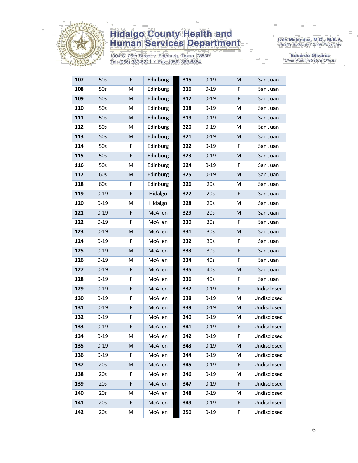

1304 S. 25th Street • Edinburg, Texas 78539<br>Tel: (956) 383-6221 • Fax: (956) 383-8864

Iván Meléndez, M.D., M.B.A.<br>Health Authority / Chief Physician

Eduardo Olivarez Chief Administrative Officer

| 107 | 50s      | F | Edinburg | 315 | $0 - 19$        | M | San Juan    |
|-----|----------|---|----------|-----|-----------------|---|-------------|
| 108 | 50s      | M | Edinburg | 316 | $0 - 19$        | F | San Juan    |
| 109 | 50s      | M | Edinburg | 317 | $0 - 19$        | F | San Juan    |
| 110 | 50s      | M | Edinburg | 318 | $0 - 19$        | M | San Juan    |
| 111 | 50s      | M | Edinburg | 319 | $0 - 19$        | M | San Juan    |
| 112 | 50s      | M | Edinburg | 320 | $0 - 19$        | м | San Juan    |
| 113 | 50s      | M | Edinburg | 321 | $0 - 19$        | M | San Juan    |
| 114 | 50s      | F | Edinburg | 322 | $0 - 19$        | F | San Juan    |
| 115 | 50s      | F | Edinburg | 323 | $0 - 19$        | M | San Juan    |
| 116 | 50s      | M | Edinburg | 324 | $0 - 19$        | F | San Juan    |
| 117 | 60s      | M | Edinburg | 325 | $0 - 19$        | M | San Juan    |
| 118 | 60s      | F | Edinburg | 326 | 20s             | Μ | San Juan    |
| 119 | $0 - 19$ | F | Hidalgo  | 327 | 20s             | F | San Juan    |
| 120 | $0 - 19$ | M | Hidalgo  | 328 | 20s             | M | San Juan    |
| 121 | $0 - 19$ | F | McAllen  | 329 | 20s             | M | San Juan    |
| 122 | $0 - 19$ | F | McAllen  | 330 | 30 <sub>s</sub> | F | San Juan    |
| 123 | $0 - 19$ | M | McAllen  | 331 | 30 <sub>s</sub> | M | San Juan    |
| 124 | $0 - 19$ | F | McAllen  | 332 | 30 <sub>s</sub> | F | San Juan    |
| 125 | $0 - 19$ | M | McAllen  | 333 | 30 <sub>s</sub> | F | San Juan    |
| 126 | $0 - 19$ | M | McAllen  | 334 | 40s             | F | San Juan    |
| 127 | $0 - 19$ | F | McAllen  | 335 | 40s             | M | San Juan    |
| 128 | $0 - 19$ | F | McAllen  | 336 | 40s             | F | San Juan    |
| 129 | $0 - 19$ | F | McAllen  | 337 | $0 - 19$        | F | Undisclosed |
| 130 | $0 - 19$ | F | McAllen  | 338 | $0 - 19$        | M | Undisclosed |
| 131 | $0 - 19$ | F | McAllen  | 339 | $0 - 19$        | M | Undisclosed |
| 132 | $0 - 19$ | F | McAllen  | 340 | $0 - 19$        | M | Undisclosed |
| 133 | $0 - 19$ | F | McAllen  | 341 | $0 - 19$        | F | Undisclosed |
| 134 | $0 - 19$ | M | McAllen  | 342 | $0 - 19$        | F | Undisclosed |
| 135 | $0 - 19$ | M | McAllen  | 343 | $0 - 19$        | M | Undisclosed |
| 136 | $0 - 19$ | F | McAllen  | 344 | $0 - 19$        | M | Undisclosed |
| 137 | 20s      | M | McAllen  | 345 | $0 - 19$        | F | Undisclosed |
| 138 | 20s      | F | McAllen  | 346 | $0 - 19$        | M | Undisclosed |
| 139 | 20s      | F | McAllen  | 347 | $0 - 19$        | F | Undisclosed |
| 140 | 20s      | M | McAllen  | 348 | $0 - 19$        | M | Undisclosed |
| 141 | 20s      | F | McAllen  | 349 | $0 - 19$        | F | Undisclosed |
| 142 | 20s      | М | McAllen  | 350 | $0 - 19$        | F | Undisclosed |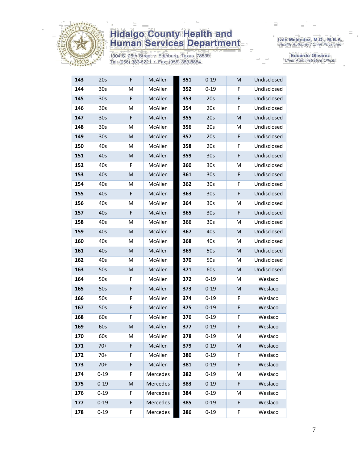

1304 S. 25th Street · Edinburg, Texas 78539 Tel: (956) 383-6221 · Fax: (956) 383-8864

Iván Meléndez, M.D., M.B.A.<br>Health Authority / Chief Physician

**Eduardo Olivarez** Chief Administrative Officer

| 143 | 20s             | F | McAllen        | 351 | $0 - 19$        | M | Undisclosed |
|-----|-----------------|---|----------------|-----|-----------------|---|-------------|
| 144 | 30 <sub>s</sub> | M | McAllen        | 352 | $0 - 19$        | F | Undisclosed |
| 145 | 30 <sub>s</sub> | F | McAllen        | 353 | 20s             | F | Undisclosed |
| 146 | 30 <sub>s</sub> | M | McAllen        | 354 | 20s             | F | Undisclosed |
| 147 | 30 <sub>s</sub> | F | <b>McAllen</b> | 355 | 20s             | M | Undisclosed |
| 148 | 30s             | M | McAllen        | 356 | 20s             | M | Undisclosed |
| 149 | 30 <sub>s</sub> | M | McAllen        | 357 | 20s             | F | Undisclosed |
| 150 | 40s             | M | McAllen        | 358 | 20s             | F | Undisclosed |
| 151 | 40s             | M | McAllen        | 359 | 30 <sub>s</sub> | F | Undisclosed |
| 152 | 40s             | F | McAllen        | 360 | 30 <sub>s</sub> | M | Undisclosed |
| 153 | 40s             | M | <b>McAllen</b> | 361 | 30 <sub>s</sub> | F | Undisclosed |
| 154 | 40s             | M | McAllen        | 362 | 30s             | F | Undisclosed |
| 155 | 40s             | F | McAllen        | 363 | 30 <sub>s</sub> | F | Undisclosed |
| 156 | 40s             | M | McAllen        | 364 | 30 <sub>s</sub> | Μ | Undisclosed |
| 157 | 40s             | F | McAllen        | 365 | 30 <sub>s</sub> | F | Undisclosed |
| 158 | 40s             | M | McAllen        | 366 | 30 <sub>s</sub> | M | Undisclosed |
| 159 | 40s             | M | McAllen        | 367 | 40s             | M | Undisclosed |
| 160 | 40s             | M | McAllen        | 368 | 40s             | M | Undisclosed |
| 161 | 40s             | M | McAllen        | 369 | 50s             | М | Undisclosed |
| 162 | 40s             | M | McAllen        | 370 | 50s             | M | Undisclosed |
| 163 | 50s             | M | McAllen        | 371 | 60s             | M | Undisclosed |
| 164 | 50s             | F | McAllen        | 372 | $0 - 19$        | M | Weslaco     |
| 165 | 50s             | F | McAllen        | 373 | $0 - 19$        | M | Weslaco     |
| 166 | 50s             | F | McAllen        | 374 | $0 - 19$        | F | Weslaco     |
| 167 | 50s             | F | McAllen        | 375 | $0 - 19$        | F | Weslaco     |
| 168 | 60s             | F | McAllen        | 376 | $0 - 19$        | F | Weslaco     |
| 169 | 60s             | M | McAllen        | 377 | $0 - 19$        | F | Weslaco     |
| 170 | 60s             | M | McAllen        | 378 | $0 - 19$        | Μ | Weslaco     |
| 171 | $70+$           | F | McAllen        | 379 | $0 - 19$        | Μ | Weslaco     |
| 172 | $70+$           | F | McAllen        | 380 | $0 - 19$        | F | Weslaco     |
| 173 | $70+$           | F | McAllen        | 381 | $0 - 19$        | F | Weslaco     |
| 174 | $0 - 19$        | F | Mercedes       | 382 | $0 - 19$        | M | Weslaco     |
| 175 | $0 - 19$        | M | Mercedes       | 383 | $0 - 19$        | F | Weslaco     |
| 176 | $0 - 19$        | F | Mercedes       | 384 | $0 - 19$        | M | Weslaco     |
| 177 | $0 - 19$        | F | Mercedes       | 385 | $0 - 19$        | F | Weslaco     |
| 178 | $0 - 19$        | F | Mercedes       | 386 | $0 - 19$        | F | Weslaco     |